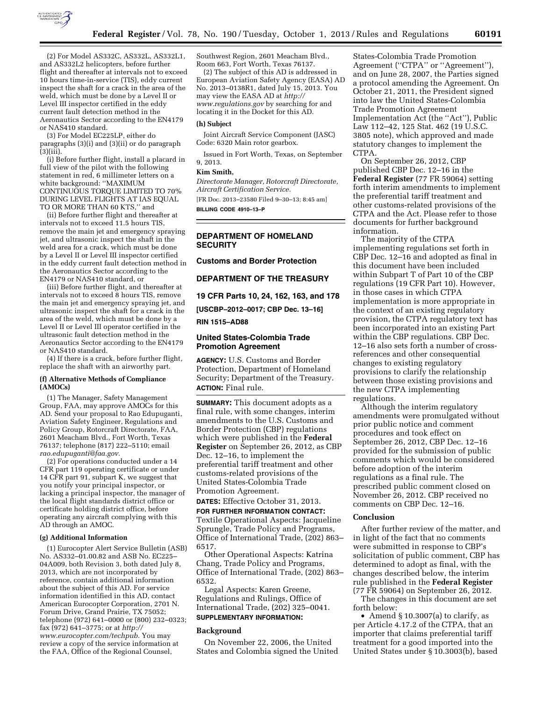

(2) For Model AS332C, AS332L, AS332L1, and AS332L2 helicopters, before further flight and thereafter at intervals not to exceed 10 hours time-in-service (TIS), eddy current inspect the shaft for a crack in the area of the weld, which must be done by a Level II or Level III inspector certified in the eddy current fault detection method in the Aeronautics Sector according to the EN4179 or NAS410 standard.

(3) For Model EC225LP, either do paragraphs (3)(i) and (3)(ii) or do paragraph (3)(iii).

(i) Before further flight, install a placard in full view of the pilot with the following statement in red, 6 millimeter letters on a white background: ''MAXIMUM CONTINUOUS TORQUE LIMITED TO 70% DURING LEVEL FLIGHTS AT IAS EQUAL TO OR MORE THAN 60 KTS,'' and

(ii) Before further flight and thereafter at intervals not to exceed 11.5 hours TIS, remove the main jet and emergency spraying jet, and ultrasonic inspect the shaft in the weld area for a crack, which must be done by a Level II or Level III inspector certified in the eddy current fault detection method in the Aeronautics Sector according to the EN4179 or NAS410 standard, or

(iii) Before further flight, and thereafter at intervals not to exceed 8 hours TIS, remove the main jet and emergency spraying jet, and ultrasonic inspect the shaft for a crack in the area of the weld, which must be done by a Level II or Level III operator certified in the ultrasonic fault detection method in the Aeronautics Sector according to the EN4179 or NAS410 standard.

(4) If there is a crack, before further flight, replace the shaft with an airworthy part.

## **(f) Alternative Methods of Compliance (AMOCs)**

(1) The Manager, Safety Management Group, FAA, may approve AMOCs for this AD. Send your proposal to Rao Edupuganti, Aviation Safety Engineer, Regulations and Policy Group, Rotorcraft Directorate, FAA, 2601 Meacham Blvd., Fort Worth, Texas 76137; telephone (817) 222–5110; email *[rao.edupuganti@faa.gov.](mailto:rao.edupuganti@faa.gov)* 

(2) For operations conducted under a 14 CFR part 119 operating certificate or under 14 CFR part 91, subpart K, we suggest that you notify your principal inspector, or lacking a principal inspector, the manager of the local flight standards district office or certificate holding district office, before operating any aircraft complying with this AD through an AMOC.

#### **(g) Additional Information**

(1) Eurocopter Alert Service Bulletin (ASB) No. AS332–01.00.82 and ASB No. EC225– 04A009, both Revision 3, both dated July 8, 2013, which are not incorporated by reference, contain additional information about the subject of this AD. For service information identified in this AD, contact American Eurocopter Corporation, 2701 N. Forum Drive, Grand Prairie, TX 75052; telephone (972) 641–0000 or (800) 232–0323; fax (972) 641–3775; or at *[http://](http://www.eurocopter.com/techpub) [www.eurocopter.com/techpub.](http://www.eurocopter.com/techpub)* You may review a copy of the service information at the FAA, Office of the Regional Counsel,

Southwest Region, 2601 Meacham Blvd., Room 663, Fort Worth, Texas 76137.

(2) The subject of this AD is addressed in European Aviation Safety Agency (EASA) AD No. 2013–0138R1, dated July 15, 2013. You may view the EASA AD at *[http://](http://www.regulations.gov) [www.regulations.gov](http://www.regulations.gov)* by searching for and locating it in the Docket for this AD.

#### **(h) Subject**

Joint Aircraft Service Component (JASC) Code: 6320 Main rotor gearbox.

Issued in Fort Worth, Texas, on September 9, 2013.

#### **Kim Smith,**

*Directorate Manager, Rotorcraft Directorate, Aircraft Certification Service.* 

[FR Doc. 2013–23580 Filed 9–30–13; 8:45 am]

**BILLING CODE 4910–13–P** 

## **DEPARTMENT OF HOMELAND SECURITY**

# **Customs and Border Protection**

# **DEPARTMENT OF THE TREASURY**

**19 CFR Parts 10, 24, 162, 163, and 178** 

**[USCBP–2012–0017; CBP Dec. 13–16]** 

#### **RIN 1515–AD88**

## **United States-Colombia Trade Promotion Agreement**

**AGENCY:** U.S. Customs and Border Protection, Department of Homeland Security; Department of the Treasury. **ACTION:** Final rule.

**SUMMARY:** This document adopts as a final rule, with some changes, interim amendments to the U.S. Customs and Border Protection (CBP) regulations which were published in the **Federal Register** on September 26, 2012, as CBP Dec. 12–16, to implement the preferential tariff treatment and other customs-related provisions of the United States-Colombia Trade Promotion Agreement.

# **DATES:** Effective October 31, 2013.

**FOR FURTHER INFORMATION CONTACT:**  Textile Operational Aspects: Jacqueline Sprungle, Trade Policy and Programs, Office of International Trade, (202) 863– 6517.

Other Operational Aspects: Katrina Chang, Trade Policy and Programs, Office of International Trade, (202) 863– 6532.

Legal Aspects: Karen Greene, Regulations and Rulings, Office of International Trade, (202) 325–0041. **SUPPLEMENTARY INFORMATION:** 

# **Background**

On November 22, 2006, the United States and Colombia signed the United

States-Colombia Trade Promotion Agreement (''CTPA'' or ''Agreement''), and on June 28, 2007, the Parties signed a protocol amending the Agreement. On October 21, 2011, the President signed into law the United States-Colombia Trade Promotion Agreement Implementation Act (the ''Act''), Public Law 112–42, 125 Stat. 462 (19 U.S.C. 3805 note), which approved and made statutory changes to implement the CTPA.

On September 26, 2012, CBP published CBP Dec. 12–16 in the **Federal Register** (77 FR 59064) setting forth interim amendments to implement the preferential tariff treatment and other customs-related provisions of the CTPA and the Act. Please refer to those documents for further background information.

The majority of the CTPA implementing regulations set forth in CBP Dec. 12–16 and adopted as final in this document have been included within Subpart T of Part 10 of the CBP regulations (19 CFR Part 10). However, in those cases in which CTPA implementation is more appropriate in the context of an existing regulatory provision, the CTPA regulatory text has been incorporated into an existing Part within the CBP regulations. CBP Dec. 12–16 also sets forth a number of crossreferences and other consequential changes to existing regulatory provisions to clarify the relationship between those existing provisions and the new CTPA implementing regulations.

Although the interim regulatory amendments were promulgated without prior public notice and comment procedures and took effect on September 26, 2012, CBP Dec. 12–16 provided for the submission of public comments which would be considered before adoption of the interim regulations as a final rule. The prescribed public comment closed on November 26, 2012. CBP received no comments on CBP Dec. 12–16.

#### **Conclusion**

After further review of the matter, and in light of the fact that no comments were submitted in response to CBP's solicitation of public comment, CBP has determined to adopt as final, with the changes described below, the interim rule published in the **Federal Register**  (77 FR 59064) on September 26, 2012.

The changes in this document are set forth below:

• Amend § 10.3007(a) to clarify, as per Article 4.17.2 of the CTPA, that an importer that claims preferential tariff treatment for a good imported into the United States under § 10.3003(b), based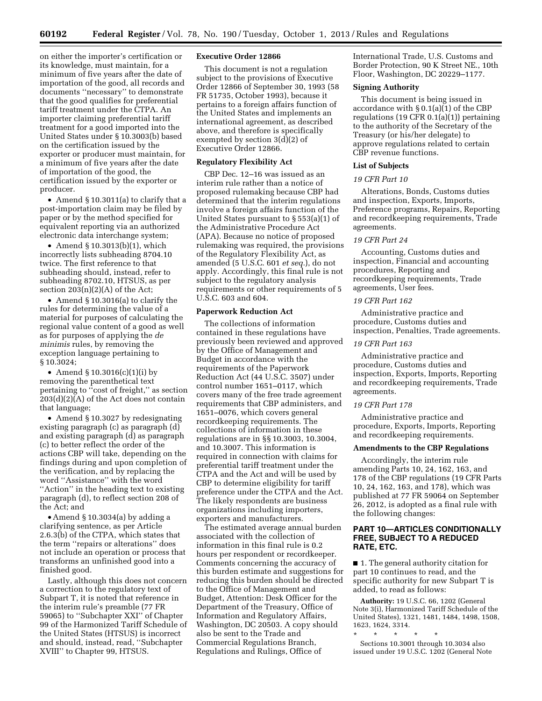on either the importer's certification or its knowledge, must maintain, for a minimum of five years after the date of importation of the good, all records and documents ''necessary'' to demonstrate that the good qualifies for preferential tariff treatment under the CTPA. An importer claiming preferential tariff treatment for a good imported into the United States under § 10.3003(b) based on the certification issued by the exporter or producer must maintain, for a minimum of five years after the date of importation of the good, the certification issued by the exporter or producer.

• Amend § 10.3011(a) to clarify that a post-importation claim may be filed by paper or by the method specified for equivalent reporting via an authorized electronic data interchange system;

• Amend § 10.3013(b)(1), which incorrectly lists subheading 8704.10 twice. The first reference to that subheading should, instead, refer to subheading 8702.10, HTSUS, as per section 203(n)(2)(A) of the Act;

• Amend § 10.3016(a) to clarify the rules for determining the value of a material for purposes of calculating the regional value content of a good as well as for purposes of applying the *de minimis* rules, by removing the exception language pertaining to § 10.3024;

• Amend  $$10.3016(c)(1)(i) by$ removing the parenthetical text pertaining to ''cost of freight,'' as section 203(d)(2)(A) of the Act does not contain that language;

• Amend § 10.3027 by redesignating existing paragraph (c) as paragraph (d) and existing paragraph (d) as paragraph (c) to better reflect the order of the actions CBP will take, depending on the findings during and upon completion of the verification, and by replacing the word ''Assistance'' with the word "Action" in the heading text to existing paragraph (d), to reflect section 208 of the Act; and

• Amend § 10.3034(a) by adding a clarifying sentence, as per Article 2.6.3(b) of the CTPA, which states that the term ''repairs or alterations'' does not include an operation or process that transforms an unfinished good into a finished good.

Lastly, although this does not concern a correction to the regulatory text of Subpart T, it is noted that reference in the interim rule's preamble (77 FR 59065) to ''Subchapter XXI'' of Chapter 99 of the Harmonized Tariff Schedule of the United States (HTSUS) is incorrect and should, instead, read, ''Subchapter XVIII'' to Chapter 99, HTSUS.

### **Executive Order 12866**

This document is not a regulation subject to the provisions of Executive Order 12866 of September 30, 1993 (58 FR 51735, October 1993), because it pertains to a foreign affairs function of the United States and implements an international agreement, as described above, and therefore is specifically exempted by section 3(d)(2) of Executive Order 12866.

# **Regulatory Flexibility Act**

CBP Dec. 12–16 was issued as an interim rule rather than a notice of proposed rulemaking because CBP had determined that the interim regulations involve a foreign affairs function of the United States pursuant to § 553(a)(1) of the Administrative Procedure Act (APA). Because no notice of proposed rulemaking was required, the provisions of the Regulatory Flexibility Act, as amended (5 U.S.C. 601 *et seq.*), do not apply. Accordingly, this final rule is not subject to the regulatory analysis requirements or other requirements of 5 U.S.C. 603 and 604.

#### **Paperwork Reduction Act**

The collections of information contained in these regulations have previously been reviewed and approved by the Office of Management and Budget in accordance with the requirements of the Paperwork Reduction Act (44 U.S.C. 3507) under control number 1651–0117, which covers many of the free trade agreement requirements that CBP administers, and 1651–0076, which covers general recordkeeping requirements. The collections of information in these regulations are in §§ 10.3003, 10.3004, and 10.3007. This information is required in connection with claims for preferential tariff treatment under the CTPA and the Act and will be used by CBP to determine eligibility for tariff preference under the CTPA and the Act. The likely respondents are business organizations including importers, exporters and manufacturers.

The estimated average annual burden associated with the collection of information in this final rule is 0.2 hours per respondent or recordkeeper. Comments concerning the accuracy of this burden estimate and suggestions for reducing this burden should be directed to the Office of Management and Budget, Attention: Desk Officer for the Department of the Treasury, Office of Information and Regulatory Affairs, Washington, DC 20503. A copy should also be sent to the Trade and Commercial Regulations Branch, Regulations and Rulings, Office of

International Trade, U.S. Customs and Border Protection, 90 K Street NE., 10th Floor, Washington, DC 20229–1177.

## **Signing Authority**

This document is being issued in accordance with § 0.1(a)(1) of the CBP regulations (19 CFR 0.1(a)(1)) pertaining to the authority of the Secretary of the Treasury (or his/her delegate) to approve regulations related to certain CBP revenue functions.

### **List of Subjects**

### *19 CFR Part 10*

Alterations, Bonds, Customs duties and inspection, Exports, Imports, Preference programs, Repairs, Reporting and recordkeeping requirements, Trade agreements.

#### *19 CFR Part 24*

Accounting, Customs duties and inspection, Financial and accounting procedures, Reporting and recordkeeping requirements, Trade agreements, User fees.

#### *19 CFR Part 162*

Administrative practice and procedure, Customs duties and inspection, Penalties, Trade agreements.

#### *19 CFR Part 163*

Administrative practice and procedure, Customs duties and inspection, Exports, Imports, Reporting and recordkeeping requirements, Trade agreements.

### *19 CFR Part 178*

Administrative practice and procedure, Exports, Imports, Reporting and recordkeeping requirements.

### **Amendments to the CBP Regulations**

Accordingly, the interim rule amending Parts 10, 24, 162, 163, and 178 of the CBP regulations (19 CFR Parts 10, 24, 162, 163, and 178), which was published at 77 FR 59064 on September 26, 2012, is adopted as a final rule with the following changes:

# **PART 10—ARTICLES CONDITIONALLY FREE, SUBJECT TO A REDUCED RATE, ETC.**

■ 1. The general authority citation for part 10 continues to read, and the specific authority for new Subpart T is added, to read as follows:

**Authority:** 19 U.S.C. 66, 1202 (General Note 3(i), Harmonized Tariff Schedule of the United States), 1321, 1481, 1484, 1498, 1508, 1623, 1624, 3314.

\* \* \* \* \* Sections 10.3001 through 10.3034 also issued under 19 U.S.C. 1202 (General Note